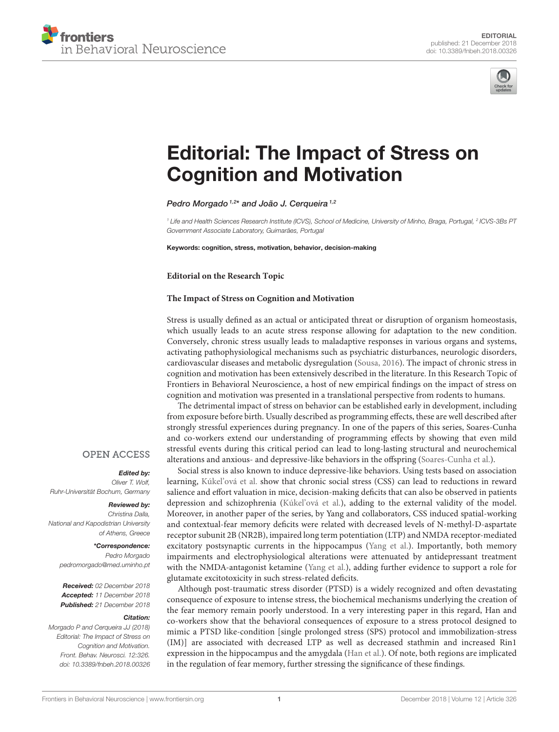



# [Editorial: The Impact of Stress on](https://www.frontiersin.org/articles/10.3389/fnbeh.2018.00326/full) Cognition and Motivation

[Pedro Morgado](http://loop.frontiersin.org/people/51122/overview)<sup>1,2\*</sup> and [João J. Cerqueira](http://loop.frontiersin.org/people/2488/overview)<sup>1,2</sup>

<sup>1</sup> Life and Health Sciences Research Institute (ICVS), School of Medicine, University of Minho, Braga, Portugal, <sup>2</sup> ICVS-3Bs PT Government Associate Laboratory, Guimarães, Portugal

Keywords: cognition, stress, motivation, behavior, decision-making

**Editorial on the Research Topic**

#### **[The Impact of Stress on Cognition and Motivation](https://www.frontiersin.org/research-topics/5557/the-impact-of-stress-on-cognition-and-motivation)**

Stress is usually defined as an actual or anticipated threat or disruption of organism homeostasis, which usually leads to an acute stress response allowing for adaptation to the new condition. Conversely, chronic stress usually leads to maladaptive responses in various organs and systems, activating pathophysiological mechanisms such as psychiatric disturbances, neurologic disorders, cardiovascular diseases and metabolic dysregulation [\(Sousa, 2016\)](#page-1-0). The impact of chronic stress in cognition and motivation has been extensively described in the literature. In this Research Topic of Frontiers in Behavioral Neuroscience, a host of new empirical findings on the impact of stress on cognition and motivation was presented in a translational perspective from rodents to humans.

The detrimental impact of stress on behavior can be established early in development, including from exposure before birth. Usually described as programming effects, these are well described after strongly stressful experiences during pregnancy. In one of the papers of this series, Soares-Cunha and co-workers extend our understanding of programming effects by showing that even mild stressful events during this critical period can lead to long-lasting structural and neurochemical alterations and anxious- and depressive-like behaviors in the offspring [\(Soares-Cunha et al.\)](https://doi.org/10.3389/fnbeh.2018.00129).

Social stress is also known to induce depressive-like behaviors. Using tests based on association learning, [Kúkel'ová et al.](https://doi.org/10.3389/fnbeh.2018.00134) show that chronic social stress (CSS) can lead to reductions in reward salience and effort valuation in mice, decision-making deficits that can also be observed in patients depression and schizophrenia [\(Kúkel'ová et al.\)](https://doi.org/10.3389/fnbeh.2018.00134), adding to the external validity of the model. Moreover, in another paper of the series, by Yang and collaborators, CSS induced spatial-working and contextual-fear memory deficits were related with decreased levels of N-methyl-D-aspartate receptor subunit 2B (NR2B), impaired long term potentiation (LTP) and NMDA receptor-mediated excitatory postsynaptic currents in the hippocampus [\(Yang et al.\)](https://doi.org/10.3389/fnbeh.2018.00229). Importantly, both memory impairments and electrophysiological alterations were attenuated by antidepressant treatment with the NMDA-antagonist ketamine [\(Yang et al.\)](https://doi.org/10.3389/fnbeh.2018.00229), adding further evidence to support a role for glutamate excitotoxicity in such stress-related deficits.

Although post-traumatic stress disorder (PTSD) is a widely recognized and often devastating consequence of exposure to intense stress, the biochemical mechanisms underlying the creation of the fear memory remain poorly understood. In a very interesting paper in this regard, Han and co-workers show that the behavioral consequences of exposure to a stress protocol designed to mimic a PTSD like-condition [single prolonged stress (SPS) protocol and immobilization-stress (IM)] are associated with decreased LTP as well as decreased stathmin and increased Rin1 expression in the hippocampus and the amygdala [\(Han et al.\)](https://doi.org/10.3389/fnbeh.2017.00062). Of note, both regions are implicated in the regulation of fear memory, further stressing the significance of these findings.

### **OPEN ACCESS**

#### Edited by:

Oliver T. Wolf, Ruhr-Universität Bochum, Germany

Reviewed by: Christina Dalla, National and Kapodistrian University of Athens, Greece

> \*Correspondence: Pedro Morgado [pedromorgado@med.uminho.pt](mailto:pedromorgado@med.uminho.pt)

Received: 02 December 2018 Accepted: 11 December 2018 Published: 21 December 2018

#### Citation:

Morgado P and Cerqueira JJ (2018) Editorial: The Impact of Stress on Cognition and Motivation. Front. Behav. Neurosci. 12:326. doi: [10.3389/fnbeh.2018.00326](https://doi.org/10.3389/fnbeh.2018.00326)